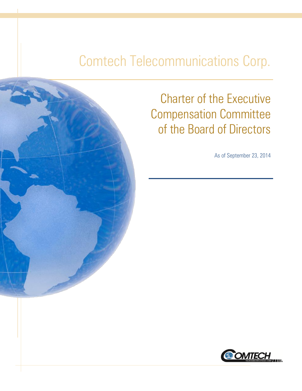# Comtech Telecommunications Corp.



Charter of the Executive Compensation Committee of the Board of Directors

As of September 23, 2014

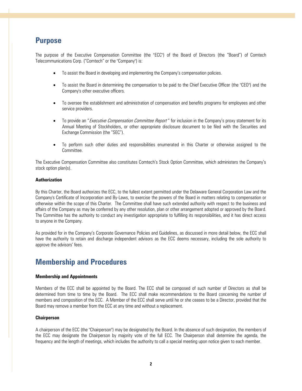### **Purpose**

The purpose of the Executive Compensation Committee (the "ECC") of the Board of Directors (the "Board") of Comtech Telecommunications Corp. ("Comtech" or the "Company") is:

- To assist the Board in developing and implementing the Company's compensation policies.
- To assist the Board in determining the compensation to be paid to the Chief Executive Officer (the "CEO") and the Company's other executive officers.
- To oversee the establishment and administration of compensation and benefits programs for employees and other service providers.
- To provide an "*Executive Compensation Committee Report*" for inclusion in the Company's proxy statement for its Annual Meeting of Stockholders, or other appropriate disclosure document to be filed with the Securities and Exchange Commission (the "SEC").
- To perform such other duties and responsibilities enumerated in this Charter or otherwise assigned to the Committee.

The Executive Compensation Committee also constitutes Comtech's Stock Option Committee, which administers the Company's stock option plan(s).

#### **Authorization**

By this Charter, the Board authorizes the ECC, to the fullest extent permitted under the Delaware General Corporation Law and the Company's Certificate of Incorporation and By-Laws, to exercise the powers of the Board in matters relating to compensation or otherwise within the scope of this Charter. The Committee shall have such extended authority with respect to the business and affairs of the Company as may be conferred by any other resolution, plan or other arrangement adopted or approved by the Board. The Committee has the authority to conduct any investigation appropriate to fulfilling its responsibilities, and it has direct access to anyone in the Company.

As provided for in the Company's Corporate Governance Policies and Guidelines, as discussed in more detail below, the ECC shall have the authority to retain and discharge independent advisors as the ECC deems necessary, including the sole authority to approve the advisors' fees.

## **Membership and Procedures**

#### **Membership and Appointments**

Members of the ECC shall be appointed by the Board. The ECC shall be composed of such number of Directors as shall be determined from time to time by the Board. The ECC shall make recommendations to the Board concerning the number of members and composition of the ECC. A Member of the ECC shall serve until he or she ceases to be a Director, provided that the Board may remove a member from the ECC at any time and without a replacement.

#### **Chairperson**

A chairperson of the ECC (the "Chairperson") may be designated by the Board. In the absence of such designation, the members of the ECC may designate the Chairperson by majority vote of the full ECC. The Chairperson shall determine the agenda, the frequency and the length of meetings, which includes the authority to call a special meeting upon notice given to each member.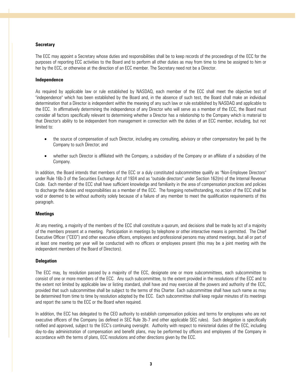#### **Secretary**

The ECC may appoint a Secretary whose duties and responsibilities shall be to keep records of the proceedings of the ECC for the purposes of reporting ECC activities to the Board and to perform all other duties as may from time to time be assigned to him or her by the ECC, or otherwise at the direction of an ECC member. The Secretary need not be a Director.

#### **Independence**

As required by applicable law or rule established by NASDAQ, each member of the ECC shall meet the objective test of "independence" which has been established by the Board and, in the absence of such test, the Board shall make an individual determination that a Director is independent within the meaning of any such law or rule established by NASDAQ and applicable to the ECC. In affirmatively determining the independence of any Director who will serve as a member of the ECC, the Board must consider all factors specifically relevant to determining whether a Director has a relationship to the Company which is material to that Director's ability to be independent from management in connection with the duties of an ECC member, including, but not limited to:

- the source of compensation of such Director, including any consulting, advisory or other compensatory fee paid by the Company to such Director; and
- whether such Director is affiliated with the Company, a subsidiary of the Company or an affiliate of a subsidiary of the Company.

In addition, the Board intends that members of the ECC or a duly constituted subcommittee qualify as "Non-Employee Directors" under Rule 16b-3 of the Securities Exchange Act of 1934 and as "outside directors" under Section 162(m) of the Internal Revenue Code. Each member of the ECC shall have sufficient knowledge and familiarity in the area of compensation practices and policies to discharge the duties and responsibilities as a member of the ECC. The foregoing notwithstanding, no action of the ECC shall be void or deemed to be without authority solely because of a failure of any member to meet the qualification requirements of this paragraph.

#### **Meetings**

At any meeting, a majority of the members of the ECC shall constitute a quorum, and decisions shall be made by act of a majority of the members present at a meeting. Participation in meetings by telephone or other interactive means is permitted. The Chief Executive Officer ("CEO") and other executive officers, employees and professional persons may attend meetings, but all or part of at least one meeting per year will be conducted with no officers or employees present (this may be a joint meeting with the independent members of the Board of Directors).

#### **Delegation**

The ECC may, by resolution passed by a majority of the ECC, designate one or more subcommittees, each subcommittee to consist of one or more members of the ECC. Any such subcommittee, to the extent provided in the resolutions of the ECC and to the extent not limited by applicable law or listing standard, shall have and may exercise all the powers and authority of the ECC, provided that such subcommittee shall be subject to the terms of this Charter. Each subcommittee shall have such name as may be determined from time to time by resolution adopted by the ECC. Each subcommittee shall keep regular minutes of its meetings and report the same to the ECC or the Board when required.

In addition, the ECC has delegated to the CEO authority to establish compensation policies and terms for employees who are not executive officers of the Company (as defined in SEC Rule 3b-7 and other applicable SEC rules). Such delegation is specifically ratified and approved, subject to the ECC's continuing oversight. Authority with respect to ministerial duties of the ECC, including day-to-day administration of compensation and benefit plans, may be performed by officers and employees of the Company in accordance with the terms of plans, ECC resolutions and other directions given by the ECC.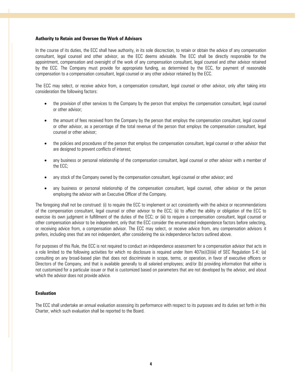#### **Authority to Retain and Oversee the Work of Advisors**

In the course of its duties, the ECC shall have authority, in its sole discrection, to retain or obtain the advice of any compensation consultant, legal counsel and other advisor, as the ECC deems advisable. The ECC shall be directly responsible for the appointment, compensation and oversight of the work of any compensation consultant, legal counsel and other advisor retained by the ECC. The Company must provide for appropriate funding, as determined by the ECC, for payment of reasonable compensation to a compensation consultant, legal counsel or any other advisor retained by the ECC.

The ECC may select, or receive advice from, a compensation consultant, legal counsel or other advisor, only after taking into consideration the following factors:

- the provision of other services to the Company by the person that employs the compensation consultant, legal counsel or other advisor;
- the amount of fees received from the Company by the person that employs the compensation consultant, legal counsel or other advisor, as a percentage of the total revenue of the person that employs the compensation consultant, legal counsel or other advisor;
- the policies and procedures of the person that employs the compensation consultant, legal counsel or other advisor that are designed to prevent conflicts of interest;
- any business or personal relationship of the compensation consultant, legal counsel or other advisor with a member of the ECC;
- any stock of the Company owned by the compensation consultant, legal counsel or other advisor; and
- any business or personal relationship of the compensation consultant, legal counsel, other advisor or the person employing the advisor with an Executive Officer of the Company.

The foregoing shall not be construed: (i) to require the ECC to implement or act consistently with the advice or recommendations of the compensation consultant, legal counsel or other advisor to the ECC; (ii) to affect the ability or obligation of the ECC to exercise its own judgment in fulfillment of the duties of the ECC; or (iii) to require a compensation consultant, legal counsel or other compensation advisor to be independent, only that the ECC consider the enumerated independence factors before selecting, or receiving advice from, a compensation advisor. The ECC may select, or receive advice from, any compensation advisors it prefers, including ones that are not independent, after considering the six independence factors outlined above.

For purposes of this Rule, the ECC is not required to conduct an independence assessment for a compensation advisor that acts in a role limited to the following activities for which no disclosure is required under Item 407(e)(3)(iii) of SEC Regulation S-K: (a) consulting on any broad-based plan that does not discriminate in scope, terms, or operation, in favor of executive officers or Directors of the Company, and that is available generally to all salaried employees; and/or (b) providing information that either is not customized for a particular issuer or that is customized based on parameters that are not developed by the advisor, and about which the advisor does not provide advice.

#### **Evaluation**

The ECC shall undertake an annual evaluation assessing its performance with respect to its purposes and its duties set forth in this Charter, which such evaluation shall be reported to the Board.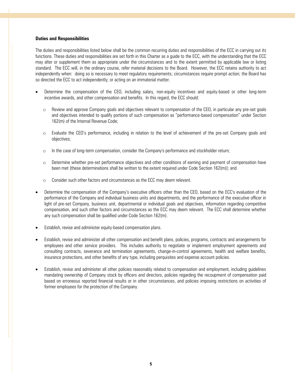#### **Duties and Responsibilities**

The duties and responsibilities listed below shall be the common recurring duties and responsibilities of the ECC in carrying out its functions. These duties and responsibilities are set forth in this Charter as a guide to the ECC, with the understanding that the ECC may alter or supplement them as appropriate under the circumstances and to the extent permitted by applicable law or listing standard. The ECC will, in the ordinary course, refer material decisions to the Board. However, the ECC retains authority to act independently when: doing so is necessary to meet regulatory requirements; circumstances require prompt action; the Board has so directed the ECC to act independently; or acting on an immaterial matter.

- Determine the compensation of the CEO, including salary, non-equity incentives and equity-based or other long-term incentive awards, and other compensation and benefits. In this regard, the ECC should:
	- o Review and approve Company goals and objectives relevant to compensation of the CEO, in particular any pre-set goals and objectives intended to qualify portions of such compensation as "performance-based compensation" under Section 162(m) of the Internal Revenue Code;
	- o Evaluate the CEO's performance, including in relation to the level of achievement of the pre-set Company goals and objectives;
	- o In the case of long-term compensation, consider the Company's performance and stockholder return;
	- o Determine whether pre-set performance objectives and other conditions of earning and payment of compensation have been met (these determinations shall be written to the extent required under Code Section 162(m)); and
	- o Consider such other factors and circumstances as the ECC may deem relevant.
- Determine the compensation of the Company's executive officers other than the CEO, based on the ECC's evaluation of the performance of the Company and individual business units and departments, and the performance of the executive officer in light of pre-set Company, business unit, departmental or individual goals and objectives, information regarding competitive compensation, and such other factors and circumstances as the ECC may deem relevant. The ECC shall determine whether any such compensation shall be qualified under Code Section 162(m).
- Establish, revise and administer equity-based compensation plans.
- Establish, revise and administer all other compensation and benefit plans, policies, programs, contracts and arrangements for employees and other service providers. This includes authority to negotiate or implement employment agreements and consulting contracts, severance and termination agreements, change-in-control agreements, health and welfare benefits, insurance protections, and other benefits of any type, including perquisites and expense account policies.
- Establish, revise and administer all other policies reasonably related to compensation and employment, including guidelines mandating ownership of Company stock by officers and directors, policies regarding the recoupment of compensation paid based on erroneous reported financial results or in other circumstances, and policies imposing restrictions on activities of former employees for the protection of the Company.